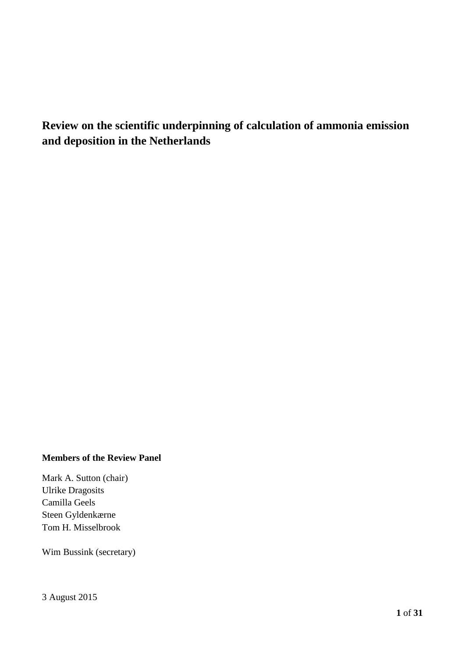## **Review on the scientific underpinning of calculation of ammonia emission and deposition in the Netherlands**

#### **Members of the Review Panel**

Mark A. Sutton (chair) Ulrike Dragosits Camilla Geels Steen Gyldenkærne Tom H. Misselbrook

Wim Bussink (secretary)

3 August 2015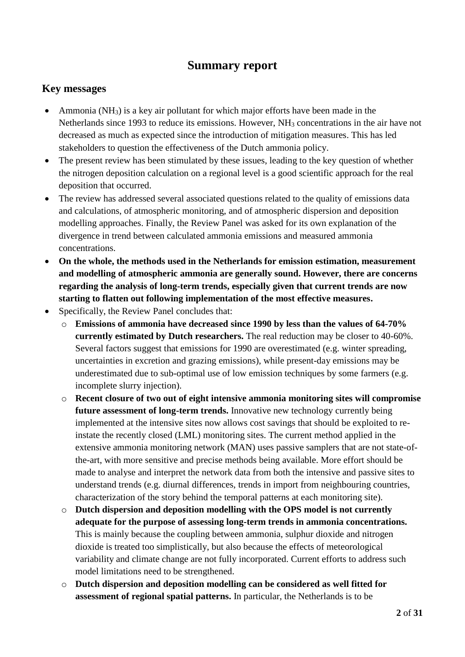## **Summary report**

## **Key messages**

- Ammonia ( $NH<sub>3</sub>$ ) is a key air pollutant for which major efforts have been made in the Netherlands since 1993 to reduce its emissions. However, NH<sub>3</sub> concentrations in the air have not decreased as much as expected since the introduction of mitigation measures. This has led stakeholders to question the effectiveness of the Dutch ammonia policy.
- The present review has been stimulated by these issues, leading to the key question of whether the nitrogen deposition calculation on a regional level is a good scientific approach for the real deposition that occurred.
- The review has addressed several associated questions related to the quality of emissions data and calculations, of atmospheric monitoring, and of atmospheric dispersion and deposition modelling approaches. Finally, the Review Panel was asked for its own explanation of the divergence in trend between calculated ammonia emissions and measured ammonia concentrations.
- **On the whole, the methods used in the Netherlands for emission estimation, measurement and modelling of atmospheric ammonia are generally sound. However, there are concerns regarding the analysis of long-term trends, especially given that current trends are now starting to flatten out following implementation of the most effective measures.**
- Specifically, the Review Panel concludes that:
	- o **Emissions of ammonia have decreased since 1990 by less than the values of 64-70% currently estimated by Dutch researchers.** The real reduction may be closer to 40-60%. Several factors suggest that emissions for 1990 are overestimated (e.g. winter spreading, uncertainties in excretion and grazing emissions), while present-day emissions may be underestimated due to sub-optimal use of low emission techniques by some farmers (e.g. incomplete slurry injection).
	- o **Recent closure of two out of eight intensive ammonia monitoring sites will compromise future assessment of long-term trends.** Innovative new technology currently being implemented at the intensive sites now allows cost savings that should be exploited to reinstate the recently closed (LML) monitoring sites. The current method applied in the extensive ammonia monitoring network (MAN) uses passive samplers that are not state-ofthe-art, with more sensitive and precise methods being available. More effort should be made to analyse and interpret the network data from both the intensive and passive sites to understand trends (e.g. diurnal differences, trends in import from neighbouring countries, characterization of the story behind the temporal patterns at each monitoring site).
	- o **Dutch dispersion and deposition modelling with the OPS model is not currently adequate for the purpose of assessing long-term trends in ammonia concentrations.** This is mainly because the coupling between ammonia, sulphur dioxide and nitrogen dioxide is treated too simplistically, but also because the effects of meteorological variability and climate change are not fully incorporated. Current efforts to address such model limitations need to be strengthened.
	- o **Dutch dispersion and deposition modelling can be considered as well fitted for assessment of regional spatial patterns.** In particular, the Netherlands is to be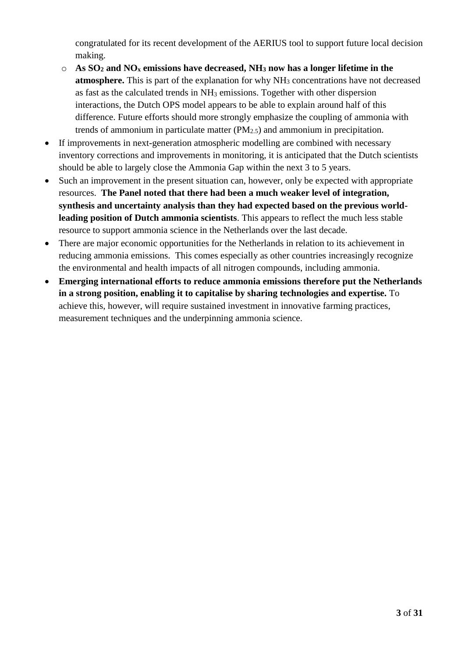congratulated for its recent development of the AERIUS tool to support future local decision making.

- o **As SO<sup>2</sup> and NO<sup>x</sup> emissions have decreased, NH<sup>3</sup> now has a longer lifetime in the atmosphere.** This is part of the explanation for why NH<sub>3</sub> concentrations have not decreased as fast as the calculated trends in NH<sup>3</sup> emissions. Together with other dispersion interactions, the Dutch OPS model appears to be able to explain around half of this difference. Future efforts should more strongly emphasize the coupling of ammonia with trends of ammonium in particulate matter  $(PM<sub>2.5</sub>)$  and ammonium in precipitation.
- If improvements in next-generation atmospheric modelling are combined with necessary inventory corrections and improvements in monitoring, it is anticipated that the Dutch scientists should be able to largely close the Ammonia Gap within the next 3 to 5 years.
- Such an improvement in the present situation can, however, only be expected with appropriate resources. **The Panel noted that there had been a much weaker level of integration, synthesis and uncertainty analysis than they had expected based on the previous worldleading position of Dutch ammonia scientists**. This appears to reflect the much less stable resource to support ammonia science in the Netherlands over the last decade.
- There are major economic opportunities for the Netherlands in relation to its achievement in reducing ammonia emissions. This comes especially as other countries increasingly recognize the environmental and health impacts of all nitrogen compounds, including ammonia.
- **Emerging international efforts to reduce ammonia emissions therefore put the Netherlands in a strong position, enabling it to capitalise by sharing technologies and expertise.** To achieve this, however, will require sustained investment in innovative farming practices, measurement techniques and the underpinning ammonia science.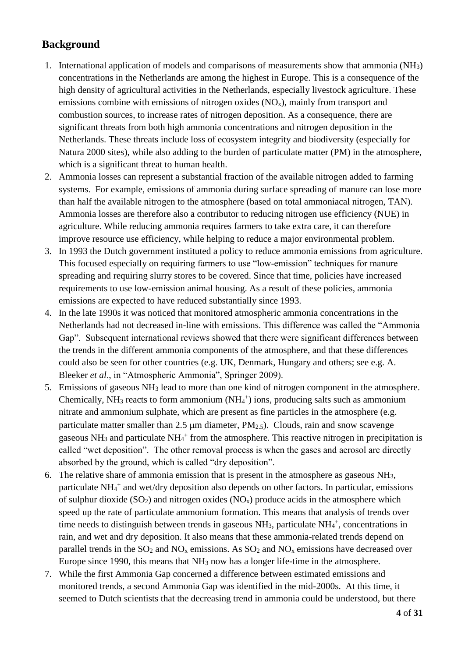## **Background**

- 1. International application of models and comparisons of measurements show that ammonia (NH3) concentrations in the Netherlands are among the highest in Europe. This is a consequence of the high density of agricultural activities in the Netherlands, especially livestock agriculture. These emissions combine with emissions of nitrogen oxides  $(NO<sub>x</sub>)$ , mainly from transport and combustion sources, to increase rates of nitrogen deposition. As a consequence, there are significant threats from both high ammonia concentrations and nitrogen deposition in the Netherlands. These threats include loss of ecosystem integrity and biodiversity (especially for Natura 2000 sites), while also adding to the burden of particulate matter (PM) in the atmosphere, which is a significant threat to human health.
- 2. Ammonia losses can represent a substantial fraction of the available nitrogen added to farming systems. For example, emissions of ammonia during surface spreading of manure can lose more than half the available nitrogen to the atmosphere (based on total ammoniacal nitrogen, TAN). Ammonia losses are therefore also a contributor to reducing nitrogen use efficiency (NUE) in agriculture. While reducing ammonia requires farmers to take extra care, it can therefore improve resource use efficiency, while helping to reduce a major environmental problem.
- 3. In 1993 the Dutch government instituted a policy to reduce ammonia emissions from agriculture. This focused especially on requiring farmers to use "low-emission" techniques for manure spreading and requiring slurry stores to be covered. Since that time, policies have increased requirements to use low-emission animal housing. As a result of these policies, ammonia emissions are expected to have reduced substantially since 1993.
- 4. In the late 1990s it was noticed that monitored atmospheric ammonia concentrations in the Netherlands had not decreased in-line with emissions. This difference was called the "Ammonia Gap". Subsequent international reviews showed that there were significant differences between the trends in the different ammonia components of the atmosphere, and that these differences could also be seen for other countries (e.g. UK, Denmark, Hungary and others; see e.g. A. Bleeker *et al*., in "Atmospheric Ammonia", Springer 2009).
- 5. Emissions of gaseous NH<sup>3</sup> lead to more than one kind of nitrogen component in the atmosphere. Chemically,  $NH_3$  reacts to form ammonium ( $NH_4^+$ ) ions, producing salts such as ammonium nitrate and ammonium sulphate, which are present as fine particles in the atmosphere (e.g. particulate matter smaller than 2.5  $\mu$ m diameter, PM<sub>2.5</sub>). Clouds, rain and snow scavenge gaseous NH<sub>3</sub> and particulate NH<sub>4</sub><sup>+</sup> from the atmosphere. This reactive nitrogen in precipitation is called "wet deposition". The other removal process is when the gases and aerosol are directly absorbed by the ground, which is called "dry deposition".
- 6. The relative share of ammonia emission that is present in the atmosphere as gaseous  $NH<sub>3</sub>$ , particulate NH<sub>4</sub><sup>+</sup> and wet/dry deposition also depends on other factors. In particular, emissions of sulphur dioxide  $(SO_2)$  and nitrogen oxides  $(NO_x)$  produce acids in the atmosphere which speed up the rate of particulate ammonium formation. This means that analysis of trends over time needs to distinguish between trends in gaseous  $NH<sub>3</sub>$ , particulate  $NH<sub>4</sub>$ <sup>+</sup>, concentrations in rain, and wet and dry deposition. It also means that these ammonia-related trends depend on parallel trends in the  $SO_2$  and  $NO_x$  emissions. As  $SO_2$  and  $NO_x$  emissions have decreased over Europe since 1990, this means that  $NH_3$  now has a longer life-time in the atmosphere.
- 7. While the first Ammonia Gap concerned a difference between estimated emissions and monitored trends, a second Ammonia Gap was identified in the mid-2000s. At this time, it seemed to Dutch scientists that the decreasing trend in ammonia could be understood, but there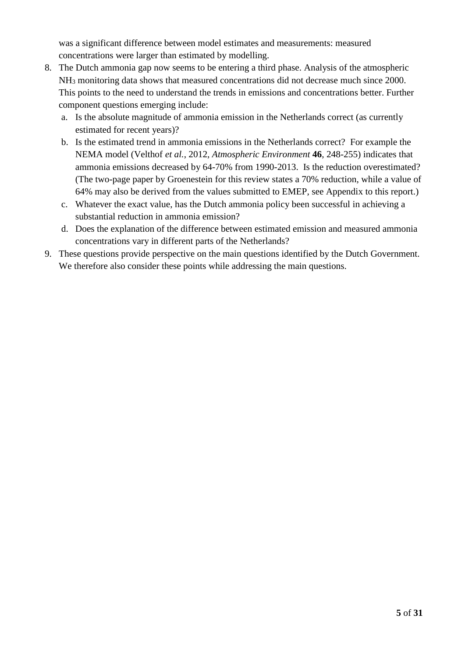was a significant difference between model estimates and measurements: measured concentrations were larger than estimated by modelling.

- 8. The Dutch ammonia gap now seems to be entering a third phase. Analysis of the atmospheric NH<sup>3</sup> monitoring data shows that measured concentrations did not decrease much since 2000. This points to the need to understand the trends in emissions and concentrations better. Further component questions emerging include:
	- a. Is the absolute magnitude of ammonia emission in the Netherlands correct (as currently estimated for recent years)?
	- b. Is the estimated trend in ammonia emissions in the Netherlands correct? For example the NEMA model (Velthof *et al.*, 2012, *Atmospheric Environment* **46**, 248-255) indicates that ammonia emissions decreased by 64-70% from 1990-2013. Is the reduction overestimated? (The two-page paper by Groenestein for this review states a 70% reduction, while a value of 64% may also be derived from the values submitted to EMEP, see Appendix to this report.)
	- c. Whatever the exact value, has the Dutch ammonia policy been successful in achieving a substantial reduction in ammonia emission?
	- d. Does the explanation of the difference between estimated emission and measured ammonia concentrations vary in different parts of the Netherlands?
- 9. These questions provide perspective on the main questions identified by the Dutch Government. We therefore also consider these points while addressing the main questions.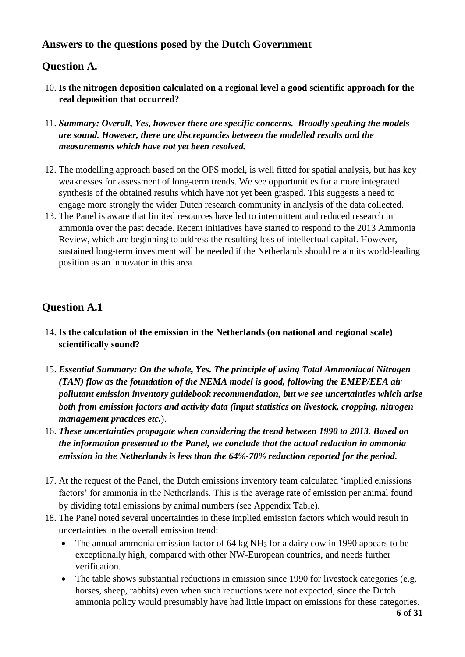## **Answers to the questions posed by the Dutch Government**

## **Question A.**

- 10. **Is the nitrogen deposition calculated on a regional level a good scientific approach for the real deposition that occurred?**
- 11. *Summary: Overall, Yes, however there are specific concerns. Broadly speaking the models are sound. However, there are discrepancies between the modelled results and the measurements which have not yet been resolved.*
- 12. The modelling approach based on the OPS model, is well fitted for spatial analysis, but has key weaknesses for assessment of long-term trends. We see opportunities for a more integrated synthesis of the obtained results which have not yet been grasped. This suggests a need to engage more strongly the wider Dutch research community in analysis of the data collected.
- 13. The Panel is aware that limited resources have led to intermittent and reduced research in ammonia over the past decade. Recent initiatives have started to respond to the 2013 Ammonia Review, which are beginning to address the resulting loss of intellectual capital. However, sustained long-term investment will be needed if the Netherlands should retain its world-leading position as an innovator in this area.

## **Question A.1**

- 14. **Is the calculation of the emission in the Netherlands (on national and regional scale) scientifically sound?**
- 15. *Essential Summary: On the whole, Yes. The principle of using Total Ammoniacal Nitrogen (TAN) flow as the foundation of the NEMA model is good, following the EMEP/EEA air pollutant emission inventory guidebook recommendation, but we see uncertainties which arise both from emission factors and activity data (input statistics on livestock, cropping, nitrogen management practices etc.*).
- 16. *These uncertainties propagate when considering the trend between 1990 to 2013. Based on the information presented to the Panel, we conclude that the actual reduction in ammonia emission in the Netherlands is less than the 64%-70% reduction reported for the period.*
- 17. At the request of the Panel, the Dutch emissions inventory team calculated 'implied emissions factors' for ammonia in the Netherlands. This is the average rate of emission per animal found by dividing total emissions by animal numbers (see Appendix Table).
- 18. The Panel noted several uncertainties in these implied emission factors which would result in uncertainties in the overall emission trend:
	- The annual ammonia emission factor of 64 kg NH<sub>3</sub> for a dairy cow in 1990 appears to be exceptionally high, compared with other NW-European countries, and needs further verification.
	- The table shows substantial reductions in emission since 1990 for livestock categories (e.g. horses, sheep, rabbits) even when such reductions were not expected, since the Dutch ammonia policy would presumably have had little impact on emissions for these categories.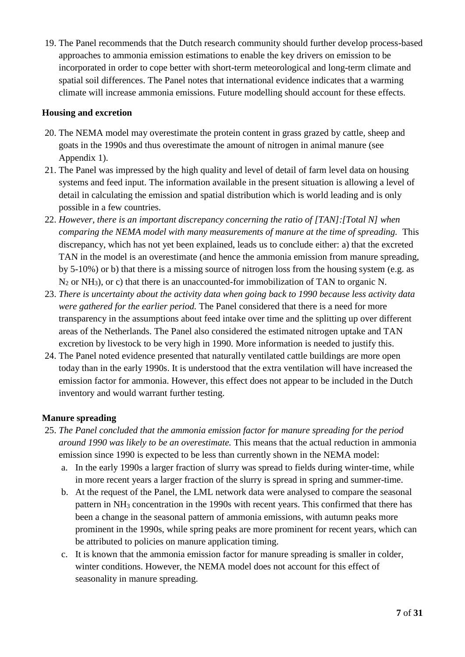19. The Panel recommends that the Dutch research community should further develop process-based approaches to ammonia emission estimations to enable the key drivers on emission to be incorporated in order to cope better with short-term meteorological and long-term climate and spatial soil differences. The Panel notes that international evidence indicates that a warming climate will increase ammonia emissions. Future modelling should account for these effects.

#### **Housing and excretion**

- 20. The NEMA model may overestimate the protein content in grass grazed by cattle, sheep and goats in the 1990s and thus overestimate the amount of nitrogen in animal manure (see Appendix 1).
- 21. The Panel was impressed by the high quality and level of detail of farm level data on housing systems and feed input. The information available in the present situation is allowing a level of detail in calculating the emission and spatial distribution which is world leading and is only possible in a few countries.
- 22. *However, there is an important discrepancy concerning the ratio of [TAN]:[Total N] when comparing the NEMA model with many measurements of manure at the time of spreading.* This discrepancy, which has not yet been explained, leads us to conclude either: a) that the excreted TAN in the model is an overestimate (and hence the ammonia emission from manure spreading, by 5-10%) or b) that there is a missing source of nitrogen loss from the housing system (e.g. as  $N_2$  or NH<sub>3</sub>), or c) that there is an unaccounted-for immobilization of TAN to organic N.
- 23. *There is uncertainty about the activity data when going back to 1990 because less activity data were gathered for the earlier period.* The Panel considered that there is a need for more transparency in the assumptions about feed intake over time and the splitting up over different areas of the Netherlands. The Panel also considered the estimated nitrogen uptake and TAN excretion by livestock to be very high in 1990. More information is needed to justify this.
- 24. The Panel noted evidence presented that naturally ventilated cattle buildings are more open today than in the early 1990s. It is understood that the extra ventilation will have increased the emission factor for ammonia. However, this effect does not appear to be included in the Dutch inventory and would warrant further testing.

#### **Manure spreading**

- 25. *The Panel concluded that the ammonia emission factor for manure spreading for the period around 1990 was likely to be an overestimate.* This means that the actual reduction in ammonia emission since 1990 is expected to be less than currently shown in the NEMA model:
	- a. In the early 1990s a larger fraction of slurry was spread to fields during winter-time, while in more recent years a larger fraction of the slurry is spread in spring and summer-time.
	- b. At the request of the Panel, the LML network data were analysed to compare the seasonal pattern in NH<sup>3</sup> concentration in the 1990s with recent years. This confirmed that there has been a change in the seasonal pattern of ammonia emissions, with autumn peaks more prominent in the 1990s, while spring peaks are more prominent for recent years, which can be attributed to policies on manure application timing.
	- c. It is known that the ammonia emission factor for manure spreading is smaller in colder, winter conditions. However, the NEMA model does not account for this effect of seasonality in manure spreading.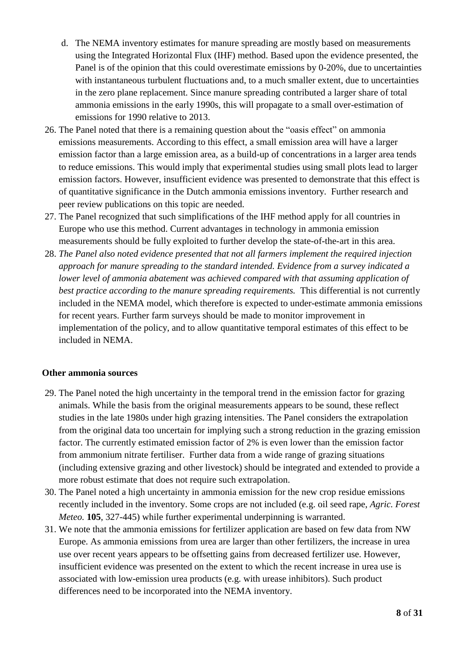- d. The NEMA inventory estimates for manure spreading are mostly based on measurements using the Integrated Horizontal Flux (IHF) method. Based upon the evidence presented, the Panel is of the opinion that this could overestimate emissions by 0-20%, due to uncertainties with instantaneous turbulent fluctuations and, to a much smaller extent, due to uncertainties in the zero plane replacement. Since manure spreading contributed a larger share of total ammonia emissions in the early 1990s, this will propagate to a small over-estimation of emissions for 1990 relative to 2013.
- 26. The Panel noted that there is a remaining question about the "oasis effect" on ammonia emissions measurements. According to this effect, a small emission area will have a larger emission factor than a large emission area, as a build-up of concentrations in a larger area tends to reduce emissions. This would imply that experimental studies using small plots lead to larger emission factors. However, insufficient evidence was presented to demonstrate that this effect is of quantitative significance in the Dutch ammonia emissions inventory. Further research and peer review publications on this topic are needed.
- 27. The Panel recognized that such simplifications of the IHF method apply for all countries in Europe who use this method. Current advantages in technology in ammonia emission measurements should be fully exploited to further develop the state-of-the-art in this area.
- 28. *The Panel also noted evidence presented that not all farmers implement the required injection approach for manure spreading to the standard intended. Evidence from a survey indicated a lower level of ammonia abatement was achieved compared with that assuming application of best practice according to the manure spreading requirements.* This differential is not currently included in the NEMA model, which therefore is expected to under-estimate ammonia emissions for recent years. Further farm surveys should be made to monitor improvement in implementation of the policy, and to allow quantitative temporal estimates of this effect to be included in NEMA.

#### **Other ammonia sources**

- 29. The Panel noted the high uncertainty in the temporal trend in the emission factor for grazing animals. While the basis from the original measurements appears to be sound, these reflect studies in the late 1980s under high grazing intensities. The Panel considers the extrapolation from the original data too uncertain for implying such a strong reduction in the grazing emission factor. The currently estimated emission factor of 2% is even lower than the emission factor from ammonium nitrate fertiliser. Further data from a wide range of grazing situations (including extensive grazing and other livestock) should be integrated and extended to provide a more robust estimate that does not require such extrapolation.
- 30. The Panel noted a high uncertainty in ammonia emission for the new crop residue emissions recently included in the inventory. Some crops are not included (e.g. oil seed rape, *Agric. Forest Meteo.* **105**, 327-445) while further experimental underpinning is warranted.
- 31. We note that the ammonia emissions for fertilizer application are based on few data from NW Europe. As ammonia emissions from urea are larger than other fertilizers, the increase in urea use over recent years appears to be offsetting gains from decreased fertilizer use. However, insufficient evidence was presented on the extent to which the recent increase in urea use is associated with low-emission urea products (e.g. with urease inhibitors). Such product differences need to be incorporated into the NEMA inventory.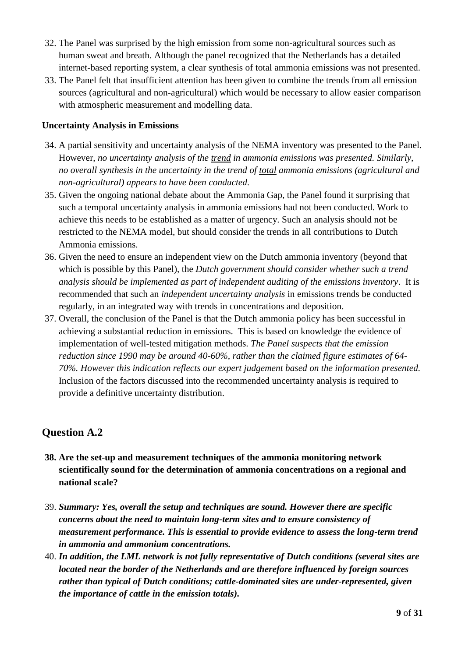- 32. The Panel was surprised by the high emission from some non-agricultural sources such as human sweat and breath. Although the panel recognized that the Netherlands has a detailed internet-based reporting system, a clear synthesis of total ammonia emissions was not presented.
- 33. The Panel felt that insufficient attention has been given to combine the trends from all emission sources (agricultural and non-agricultural) which would be necessary to allow easier comparison with atmospheric measurement and modelling data.

#### **Uncertainty Analysis in Emissions**

- 34. A partial sensitivity and uncertainty analysis of the NEMA inventory was presented to the Panel. However, *no uncertainty analysis of the trend in ammonia emissions was presented. Similarly, no overall synthesis in the uncertainty in the trend of total ammonia emissions (agricultural and non-agricultural) appears to have been conducted.*
- 35. Given the ongoing national debate about the Ammonia Gap, the Panel found it surprising that such a temporal uncertainty analysis in ammonia emissions had not been conducted. Work to achieve this needs to be established as a matter of urgency. Such an analysis should not be restricted to the NEMA model, but should consider the trends in all contributions to Dutch Ammonia emissions.
- 36. Given the need to ensure an independent view on the Dutch ammonia inventory (beyond that which is possible by this Panel), the *Dutch government should consider whether such a trend analysis should be implemented as part of independent auditing of the emissions inventory*. It is recommended that such an *independent uncertainty analysis* in emissions trends be conducted regularly, in an integrated way with trends in concentrations and deposition.
- 37. Overall, the conclusion of the Panel is that the Dutch ammonia policy has been successful in achieving a substantial reduction in emissions. This is based on knowledge the evidence of implementation of well-tested mitigation methods. *The Panel suspects that the emission reduction since 1990 may be around 40-60%, rather than the claimed figure estimates of 64- 70%. However this indication reflects our expert judgement based on the information presented.* Inclusion of the factors discussed into the recommended uncertainty analysis is required to provide a definitive uncertainty distribution.

## **Question A.2**

- **38. Are the set-up and measurement techniques of the ammonia monitoring network scientifically sound for the determination of ammonia concentrations on a regional and national scale?**
- 39. *Summary: Yes, overall the setup and techniques are sound. However there are specific concerns about the need to maintain long-term sites and to ensure consistency of measurement performance. This is essential to provide evidence to assess the long-term trend in ammonia and ammonium concentrations.*
- 40. *In addition, the LML network is not fully representative of Dutch conditions (several sites are located near the border of the Netherlands and are therefore influenced by foreign sources rather than typical of Dutch conditions; cattle-dominated sites are under-represented, given the importance of cattle in the emission totals).*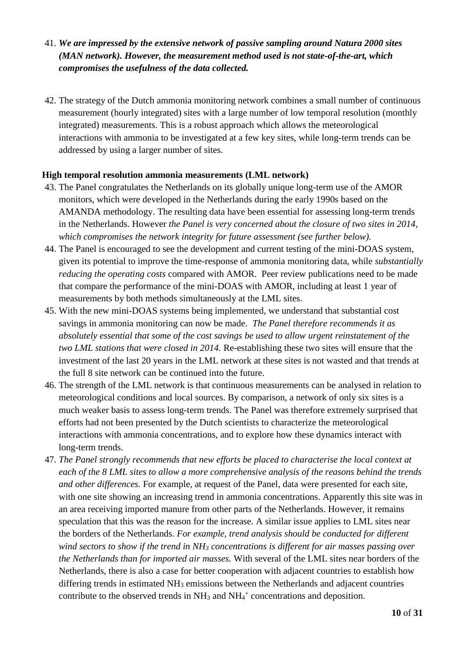- 41. *We are impressed by the extensive network of passive sampling around Natura 2000 sites (MAN network). However, the measurement method used is not state-of-the-art, which compromises the usefulness of the data collected.*
- 42. The strategy of the Dutch ammonia monitoring network combines a small number of continuous measurement (hourly integrated) sites with a large number of low temporal resolution (monthly integrated) measurements. This is a robust approach which allows the meteorological interactions with ammonia to be investigated at a few key sites, while long-term trends can be addressed by using a larger number of sites.

#### **High temporal resolution ammonia measurements (LML network)**

- 43. The Panel congratulates the Netherlands on its globally unique long-term use of the AMOR monitors, which were developed in the Netherlands during the early 1990s based on the AMANDA methodology. The resulting data have been essential for assessing long-term trends in the Netherlands. However *the Panel is very concerned about the closure of two sites in 2014, which compromises the network integrity for future assessment (see further below).*
- 44. The Panel is encouraged to see the development and current testing of the mini-DOAS system, given its potential to improve the time-response of ammonia monitoring data, while *substantially reducing the operating costs* compared with AMOR. Peer review publications need to be made that compare the performance of the mini-DOAS with AMOR, including at least 1 year of measurements by both methods simultaneously at the LML sites.
- 45. With the new mini-DOAS systems being implemented, we understand that substantial cost savings in ammonia monitoring can now be made. *The Panel therefore recommends it as absolutely essential that some of the cost savings be used to allow urgent reinstatement of the two LML stations that were closed in 2014.* Re-establishing these two sites will ensure that the investment of the last 20 years in the LML network at these sites is not wasted and that trends at the full 8 site network can be continued into the future.
- 46. The strength of the LML network is that continuous measurements can be analysed in relation to meteorological conditions and local sources. By comparison, a network of only six sites is a much weaker basis to assess long-term trends. The Panel was therefore extremely surprised that efforts had not been presented by the Dutch scientists to characterize the meteorological interactions with ammonia concentrations, and to explore how these dynamics interact with long-term trends.
- 47. *The Panel strongly recommends that new efforts be placed to characterise the local context at each of the 8 LML sites to allow a more comprehensive analysis of the reasons behind the trends and other differences.* For example, at request of the Panel, data were presented for each site, with one site showing an increasing trend in ammonia concentrations. Apparently this site was in an area receiving imported manure from other parts of the Netherlands. However, it remains speculation that this was the reason for the increase. A similar issue applies to LML sites near the borders of the Netherlands. *For example, trend analysis should be conducted for different wind sectors to show if the trend in NH<sup>3</sup> concentrations is different for air masses passing over the Netherlands than for imported air masses.* With several of the LML sites near borders of the Netherlands, there is also a case for better cooperation with adjacent countries to establish how differing trends in estimated NH<sub>3</sub> emissions between the Netherlands and adjacent countries contribute to the observed trends in  $NH_3$  and  $NH_4^+$  concentrations and deposition.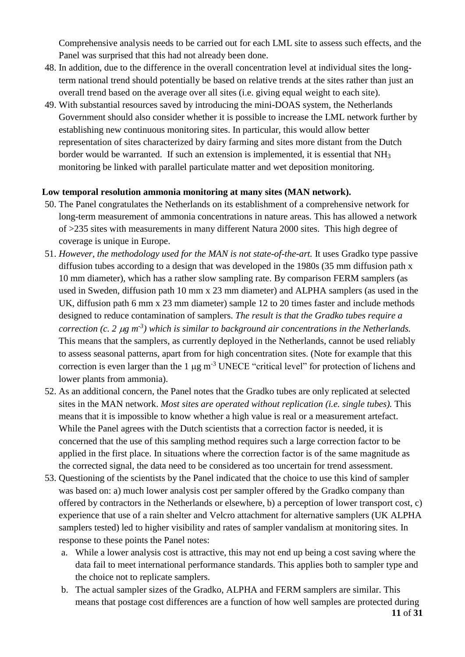Comprehensive analysis needs to be carried out for each LML site to assess such effects, and the Panel was surprised that this had not already been done.

- 48. In addition, due to the difference in the overall concentration level at individual sites the longterm national trend should potentially be based on relative trends at the sites rather than just an overall trend based on the average over all sites (i.e. giving equal weight to each site).
- 49. With substantial resources saved by introducing the mini-DOAS system, the Netherlands Government should also consider whether it is possible to increase the LML network further by establishing new continuous monitoring sites. In particular, this would allow better representation of sites characterized by dairy farming and sites more distant from the Dutch border would be warranted. If such an extension is implemented, it is essential that NH<sub>3</sub> monitoring be linked with parallel particulate matter and wet deposition monitoring.

#### **Low temporal resolution ammonia monitoring at many sites (MAN network).**

- 50. The Panel congratulates the Netherlands on its establishment of a comprehensive network for long-term measurement of ammonia concentrations in nature areas. This has allowed a network of >235 sites with measurements in many different Natura 2000 sites. This high degree of coverage is unique in Europe.
- 51. *However, the methodology used for the MAN is not state-of-the-art.* It uses Gradko type passive diffusion tubes according to a design that was developed in the 1980s (35 mm diffusion path x 10 mm diameter), which has a rather slow sampling rate. By comparison FERM samplers (as used in Sweden, diffusion path 10 mm x 23 mm diameter) and ALPHA samplers (as used in the UK, diffusion path 6 mm x 23 mm diameter) sample 12 to 20 times faster and include methods designed to reduce contamination of samplers. *The result is that the Gradko tubes require a correction (c. 2*  $\mu$ *g m<sup>-3</sup>)* which is similar to *background air concentrations in the Netherlands.* This means that the samplers, as currently deployed in the Netherlands, cannot be used reliably to assess seasonal patterns, apart from for high concentration sites. (Note for example that this correction is even larger than the 1  $\mu$ g m<sup>-3</sup> UNECE "critical level" for protection of lichens and lower plants from ammonia).
- 52. As an additional concern, the Panel notes that the Gradko tubes are only replicated at selected sites in the MAN network. *Most sites are operated without replication (i.e. single tubes).* This means that it is impossible to know whether a high value is real or a measurement artefact. While the Panel agrees with the Dutch scientists that a correction factor is needed, it is concerned that the use of this sampling method requires such a large correction factor to be applied in the first place. In situations where the correction factor is of the same magnitude as the corrected signal, the data need to be considered as too uncertain for trend assessment.
- 53. Questioning of the scientists by the Panel indicated that the choice to use this kind of sampler was based on: a) much lower analysis cost per sampler offered by the Gradko company than offered by contractors in the Netherlands or elsewhere, b) a perception of lower transport cost, c) experience that use of a rain shelter and Velcro attachment for alternative samplers (UK ALPHA samplers tested) led to higher visibility and rates of sampler vandalism at monitoring sites. In response to these points the Panel notes:
	- a. While a lower analysis cost is attractive, this may not end up being a cost saving where the data fail to meet international performance standards. This applies both to sampler type and the choice not to replicate samplers.
	- b. The actual sampler sizes of the Gradko, ALPHA and FERM samplers are similar. This means that postage cost differences are a function of how well samples are protected during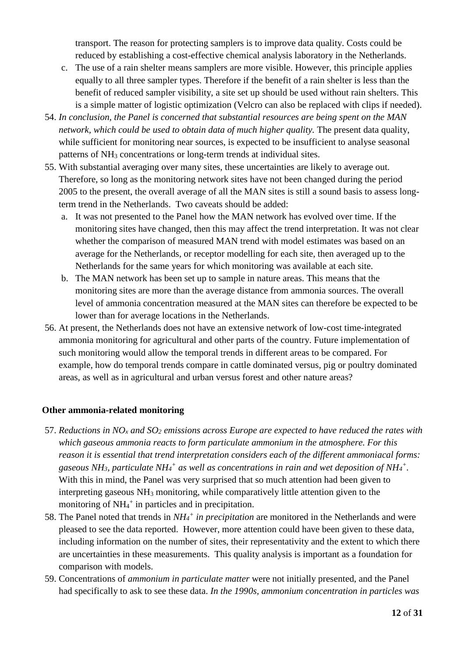transport. The reason for protecting samplers is to improve data quality. Costs could be reduced by establishing a cost-effective chemical analysis laboratory in the Netherlands.

- c. The use of a rain shelter means samplers are more visible. However, this principle applies equally to all three sampler types. Therefore if the benefit of a rain shelter is less than the benefit of reduced sampler visibility, a site set up should be used without rain shelters. This is a simple matter of logistic optimization (Velcro can also be replaced with clips if needed).
- 54. *In conclusion, the Panel is concerned that substantial resources are being spent on the MAN network, which could be used to obtain data of much higher quality.* The present data quality, while sufficient for monitoring near sources, is expected to be insufficient to analyse seasonal patterns of NH<sup>3</sup> concentrations or long-term trends at individual sites.
- 55. With substantial averaging over many sites, these uncertainties are likely to average out. Therefore, so long as the monitoring network sites have not been changed during the period 2005 to the present, the overall average of all the MAN sites is still a sound basis to assess longterm trend in the Netherlands. Two caveats should be added:
	- a. It was not presented to the Panel how the MAN network has evolved over time. If the monitoring sites have changed, then this may affect the trend interpretation. It was not clear whether the comparison of measured MAN trend with model estimates was based on an average for the Netherlands, or receptor modelling for each site, then averaged up to the Netherlands for the same years for which monitoring was available at each site.
	- b. The MAN network has been set up to sample in nature areas. This means that the monitoring sites are more than the average distance from ammonia sources. The overall level of ammonia concentration measured at the MAN sites can therefore be expected to be lower than for average locations in the Netherlands.
- 56. At present, the Netherlands does not have an extensive network of low-cost time-integrated ammonia monitoring for agricultural and other parts of the country. Future implementation of such monitoring would allow the temporal trends in different areas to be compared. For example, how do temporal trends compare in cattle dominated versus, pig or poultry dominated areas, as well as in agricultural and urban versus forest and other nature areas?

#### **Other ammonia-related monitoring**

- 57. *Reductions in NO<sup>x</sup> and SO<sup>2</sup> emissions across Europe are expected to have reduced the rates with which gaseous ammonia reacts to form particulate ammonium in the atmosphere. For this reason it is essential that trend interpretation considers each of the different ammoniacal forms: gaseous NH3, particulate NH<sup>4</sup> + as well as concentrations in rain and wet deposition of NH<sup>4</sup> + .* With this in mind, the Panel was very surprised that so much attention had been given to interpreting gaseous NH<sup>3</sup> monitoring, while comparatively little attention given to the monitoring of NH<sub>4</sub><sup>+</sup> in particles and in precipitation.
- 58. The Panel noted that trends in *NH<sup>4</sup> + in precipitation* are monitored in the Netherlands and were pleased to see the data reported. However, more attention could have been given to these data, including information on the number of sites, their representativity and the extent to which there are uncertainties in these measurements. This quality analysis is important as a foundation for comparison with models.
- 59. Concentrations of *ammonium in particulate matter* were not initially presented, and the Panel had specifically to ask to see these data. *In the 1990s, ammonium concentration in particles was*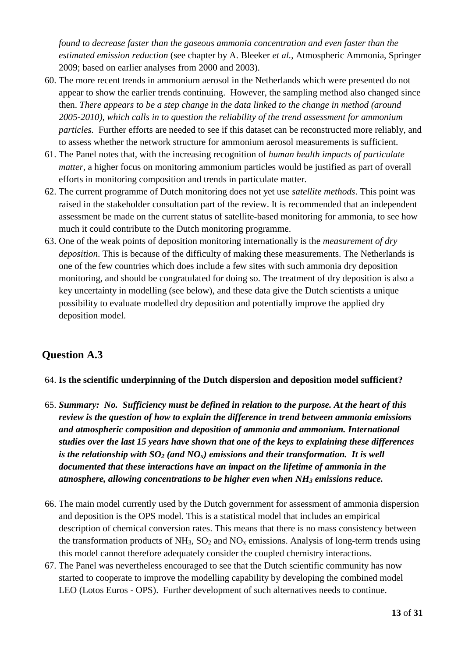*found to decrease faster than the gaseous ammonia concentration and even faster than the estimated emission reduction* (see chapter by A. Bleeker *et al.*, Atmospheric Ammonia, Springer 2009; based on earlier analyses from 2000 and 2003).

- 60. The more recent trends in ammonium aerosol in the Netherlands which were presented do not appear to show the earlier trends continuing. However, the sampling method also changed since then. *There appears to be a step change in the data linked to the change in method (around 2005-2010), which calls in to question the reliability of the trend assessment for ammonium particles.* Further efforts are needed to see if this dataset can be reconstructed more reliably, and to assess whether the network structure for ammonium aerosol measurements is sufficient.
- 61. The Panel notes that, with the increasing recognition of *human health impacts of particulate matter,* a higher focus on monitoring ammonium particles would be justified as part of overall efforts in monitoring composition and trends in particulate matter.
- 62. The current programme of Dutch monitoring does not yet use *satellite methods*. This point was raised in the stakeholder consultation part of the review. It is recommended that an independent assessment be made on the current status of satellite-based monitoring for ammonia, to see how much it could contribute to the Dutch monitoring programme.
- 63. One of the weak points of deposition monitoring internationally is the *measurement of dry deposition*. This is because of the difficulty of making these measurements. The Netherlands is one of the few countries which does include a few sites with such ammonia dry deposition monitoring, and should be congratulated for doing so. The treatment of dry deposition is also a key uncertainty in modelling (see below), and these data give the Dutch scientists a unique possibility to evaluate modelled dry deposition and potentially improve the applied dry deposition model.

## **Question A.3**

#### 64. **Is the scientific underpinning of the Dutch dispersion and deposition model sufficient?**

- 65. *Summary: No. Sufficiency must be defined in relation to the purpose. At the heart of this review is the question of how to explain the difference in trend between ammonia emissions and atmospheric composition and deposition of ammonia and ammonium. International studies over the last 15 years have shown that one of the keys to explaining these differences is the relationship with SO<sup>2</sup> (and NOx) emissions and their transformation. It is well documented that these interactions have an impact on the lifetime of ammonia in the atmosphere, allowing concentrations to be higher even when NH<sup>3</sup> emissions reduce.*
- 66. The main model currently used by the Dutch government for assessment of ammonia dispersion and deposition is the OPS model. This is a statistical model that includes an empirical description of chemical conversion rates. This means that there is no mass consistency between the transformation products of  $NH_3$ ,  $SO_2$  and  $NO<sub>x</sub>$  emissions. Analysis of long-term trends using this model cannot therefore adequately consider the coupled chemistry interactions.
- 67. The Panel was nevertheless encouraged to see that the Dutch scientific community has now started to cooperate to improve the modelling capability by developing the combined model LEO (Lotos Euros - OPS). Further development of such alternatives needs to continue.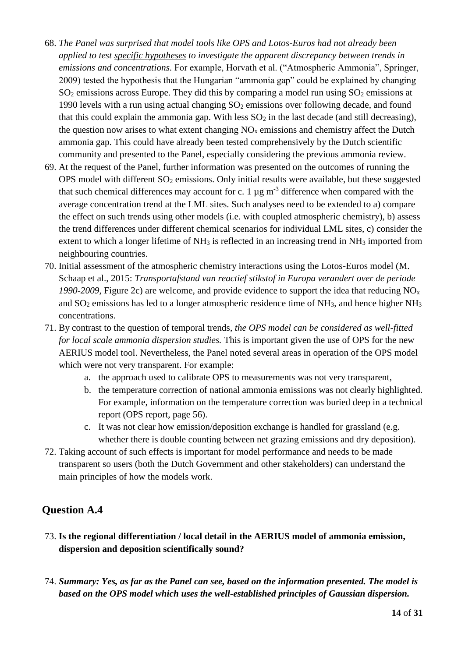- 68. *The Panel was surprised that model tools like OPS and Lotos-Euros had not already been applied to test specific hypotheses to investigate the apparent discrepancy between trends in emissions and concentrations.* For example, Horvath et al. ("Atmospheric Ammonia", Springer, 2009) tested the hypothesis that the Hungarian "ammonia gap" could be explained by changing  $SO_2$  emissions across Europe. They did this by comparing a model run using  $SO_2$  emissions at 1990 levels with a run using actual changing  $SO<sub>2</sub>$  emissions over following decade, and found that this could explain the ammonia gap. With less  $SO_2$  in the last decade (and still decreasing), the question now arises to what extent changing  $NO<sub>x</sub>$  emissions and chemistry affect the Dutch ammonia gap. This could have already been tested comprehensively by the Dutch scientific community and presented to the Panel, especially considering the previous ammonia review.
- 69. At the request of the Panel, further information was presented on the outcomes of running the OPS model with different  $SO_2$  emissions. Only initial results were available, but these suggested that such chemical differences may account for c. 1  $\mu$ g m<sup>-3</sup> difference when compared with the average concentration trend at the LML sites. Such analyses need to be extended to a) compare the effect on such trends using other models (i.e. with coupled atmospheric chemistry), b) assess the trend differences under different chemical scenarios for individual LML sites, c) consider the extent to which a longer lifetime of NH<sub>3</sub> is reflected in an increasing trend in NH<sub>3</sub> imported from neighbouring countries.
- 70. Initial assessment of the atmospheric chemistry interactions using the Lotos-Euros model (M. Schaap et al., 2015: *Transportafstand van reactief stikstof in Europa verandert over de periode 1990-2009*, Figure 2c) are welcome, and provide evidence to support the idea that reducing NO<sup>x</sup> and  $SO_2$  emissions has led to a longer atmospheric residence time of  $NH_3$ , and hence higher  $NH_3$ concentrations.
- 71. By contrast to the question of temporal trends, *the OPS model can be considered as well-fitted for local scale ammonia dispersion studies.* This is important given the use of OPS for the new AERIUS model tool. Nevertheless, the Panel noted several areas in operation of the OPS model which were not very transparent. For example:
	- a. the approach used to calibrate OPS to measurements was not very transparent,
	- b. the temperature correction of national ammonia emissions was not clearly highlighted. For example, information on the temperature correction was buried deep in a technical report (OPS report, page 56).
	- c. It was not clear how emission/deposition exchange is handled for grassland (e.g. whether there is double counting between net grazing emissions and dry deposition).
- 72. Taking account of such effects is important for model performance and needs to be made transparent so users (both the Dutch Government and other stakeholders) can understand the main principles of how the models work.

## **Question A.4**

- 73. **Is the regional differentiation / local detail in the AERIUS model of ammonia emission, dispersion and deposition scientifically sound?**
- 74. *Summary: Yes, as far as the Panel can see, based on the information presented. The model is based on the OPS model which uses the well-established principles of Gaussian dispersion.*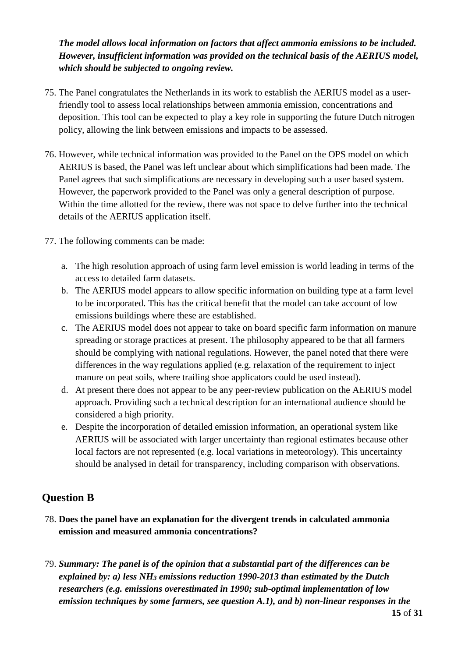## *The model allows local information on factors that affect ammonia emissions to be included. However, insufficient information was provided on the technical basis of the AERIUS model, which should be subjected to ongoing review.*

- 75. The Panel congratulates the Netherlands in its work to establish the AERIUS model as a userfriendly tool to assess local relationships between ammonia emission, concentrations and deposition. This tool can be expected to play a key role in supporting the future Dutch nitrogen policy, allowing the link between emissions and impacts to be assessed.
- 76. However, while technical information was provided to the Panel on the OPS model on which AERIUS is based, the Panel was left unclear about which simplifications had been made. The Panel agrees that such simplifications are necessary in developing such a user based system. However, the paperwork provided to the Panel was only a general description of purpose. Within the time allotted for the review, there was not space to delve further into the technical details of the AERIUS application itself.
- 77. The following comments can be made:
	- a. The high resolution approach of using farm level emission is world leading in terms of the access to detailed farm datasets.
	- b. The AERIUS model appears to allow specific information on building type at a farm level to be incorporated. This has the critical benefit that the model can take account of low emissions buildings where these are established.
	- c. The AERIUS model does not appear to take on board specific farm information on manure spreading or storage practices at present. The philosophy appeared to be that all farmers should be complying with national regulations. However, the panel noted that there were differences in the way regulations applied (e.g. relaxation of the requirement to inject manure on peat soils, where trailing shoe applicators could be used instead).
	- d. At present there does not appear to be any peer-review publication on the AERIUS model approach. Providing such a technical description for an international audience should be considered a high priority.
	- e. Despite the incorporation of detailed emission information, an operational system like AERIUS will be associated with larger uncertainty than regional estimates because other local factors are not represented (e.g. local variations in meteorology). This uncertainty should be analysed in detail for transparency, including comparison with observations.

## **Question B**

- 78. **Does the panel have an explanation for the divergent trends in calculated ammonia emission and measured ammonia concentrations?**
- 79. *Summary: The panel is of the opinion that a substantial part of the differences can be explained by: a) less NH<sup>3</sup> emissions reduction 1990-2013 than estimated by the Dutch researchers (e.g. emissions overestimated in 1990; sub-optimal implementation of low emission techniques by some farmers, see question A.1), and b) non-linear responses in the*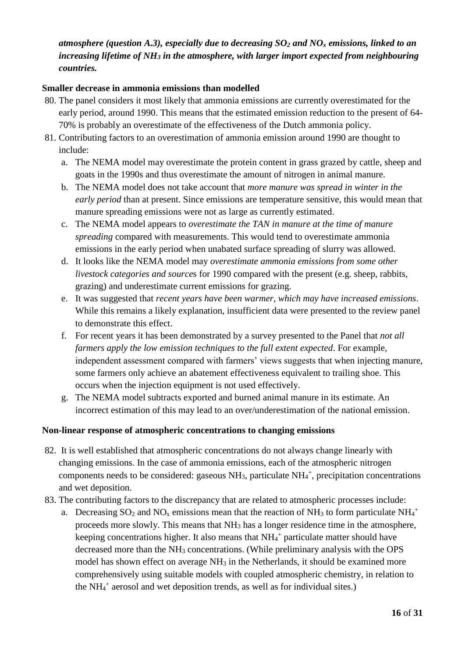## *atmosphere (question A.3), especially due to decreasing SO<sup>2</sup> and NO<sup>x</sup> emissions, linked to an increasing lifetime of NH<sup>3</sup> in the atmosphere, with larger import expected from neighbouring countries.*

#### **Smaller decrease in ammonia emissions than modelled**

- 80. The panel considers it most likely that ammonia emissions are currently overestimated for the early period, around 1990. This means that the estimated emission reduction to the present of 64- 70% is probably an overestimate of the effectiveness of the Dutch ammonia policy.
- 81. Contributing factors to an overestimation of ammonia emission around 1990 are thought to include:
	- a. The NEMA model may overestimate the protein content in grass grazed by cattle, sheep and goats in the 1990s and thus overestimate the amount of nitrogen in animal manure.
	- b. The NEMA model does not take account that *more manure was spread in winter in the early period* than at present. Since emissions are temperature sensitive, this would mean that manure spreading emissions were not as large as currently estimated.
	- c. The NEMA model appears to *overestimate the TAN in manure at the time of manure spreading* compared with measurements. This would tend to overestimate ammonia emissions in the early period when unabated surface spreading of slurry was allowed.
	- d. It looks like the NEMA model may *overestimate ammonia emissions from some other livestock categories and source*s for 1990 compared with the present (e.g. sheep, rabbits, grazing) and underestimate current emissions for grazing.
	- e. It was suggested that *recent years have been warmer, which may have increased emissions*. While this remains a likely explanation, insufficient data were presented to the review panel to demonstrate this effect.
	- f. For recent years it has been demonstrated by a survey presented to the Panel that *not all farmers apply the low emission techniques to the full extent expected*. For example, independent assessment compared with farmers' views suggests that when injecting manure, some farmers only achieve an abatement effectiveness equivalent to trailing shoe. This occurs when the injection equipment is not used effectively.
	- g. The NEMA model subtracts exported and burned animal manure in its estimate. An incorrect estimation of this may lead to an over/underestimation of the national emission.

#### **Non-linear response of atmospheric concentrations to changing emissions**

- 82. It is well established that atmospheric concentrations do not always change linearly with changing emissions. In the case of ammonia emissions, each of the atmospheric nitrogen components needs to be considered: gaseous  $NH<sub>3</sub>$ , particulate  $NH<sub>4</sub><sup>+</sup>$ , precipitation concentrations and wet deposition.
- 83. The contributing factors to the discrepancy that are related to atmospheric processes include:
	- a. Decreasing  $SO_2$  and  $NO_x$  emissions mean that the reaction of NH<sub>3</sub> to form particulate NH<sub>4</sub><sup>+</sup> proceeds more slowly. This means that NH<sup>3</sup> has a longer residence time in the atmosphere, keeping concentrations higher. It also means that  $NH_4^+$  particulate matter should have decreased more than the NH<sub>3</sub> concentrations. (While preliminary analysis with the OPS model has shown effect on average NH<sub>3</sub> in the Netherlands, it should be examined more comprehensively using suitable models with coupled atmospheric chemistry, in relation to the NH<sup>4</sup> + aerosol and wet deposition trends, as well as for individual sites.)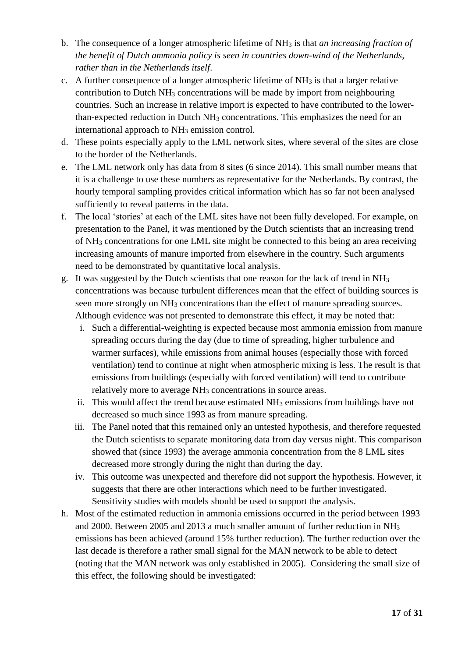- b. The consequence of a longer atmospheric lifetime of NH<sup>3</sup> is that *an increasing fraction of the benefit of Dutch ammonia policy is seen in countries down-wind of the Netherlands, rather than in the Netherlands itself*.
- c. A further consequence of a longer atmospheric lifetime of  $NH<sub>3</sub>$  is that a larger relative contribution to Dutch  $NH<sub>3</sub>$  concentrations will be made by import from neighbouring countries. Such an increase in relative import is expected to have contributed to the lowerthan-expected reduction in Dutch NH<sup>3</sup> concentrations. This emphasizes the need for an international approach to  $NH<sub>3</sub>$  emission control.
- d. These points especially apply to the LML network sites, where several of the sites are close to the border of the Netherlands.
- e. The LML network only has data from 8 sites (6 since 2014). This small number means that it is a challenge to use these numbers as representative for the Netherlands. By contrast, the hourly temporal sampling provides critical information which has so far not been analysed sufficiently to reveal patterns in the data.
- f. The local 'stories' at each of the LML sites have not been fully developed. For example, on presentation to the Panel, it was mentioned by the Dutch scientists that an increasing trend of NH<sup>3</sup> concentrations for one LML site might be connected to this being an area receiving increasing amounts of manure imported from elsewhere in the country. Such arguments need to be demonstrated by quantitative local analysis.
- g. It was suggested by the Dutch scientists that one reason for the lack of trend in NH<sup>3</sup> concentrations was because turbulent differences mean that the effect of building sources is seen more strongly on NH<sub>3</sub> concentrations than the effect of manure spreading sources. Although evidence was not presented to demonstrate this effect, it may be noted that:
	- i. Such a differential-weighting is expected because most ammonia emission from manure spreading occurs during the day (due to time of spreading, higher turbulence and warmer surfaces), while emissions from animal houses (especially those with forced ventilation) tend to continue at night when atmospheric mixing is less. The result is that emissions from buildings (especially with forced ventilation) will tend to contribute relatively more to average NH<sub>3</sub> concentrations in source areas.
	- ii. This would affect the trend because estimated  $NH<sub>3</sub>$  emissions from buildings have not decreased so much since 1993 as from manure spreading.
	- iii. The Panel noted that this remained only an untested hypothesis, and therefore requested the Dutch scientists to separate monitoring data from day versus night. This comparison showed that (since 1993) the average ammonia concentration from the 8 LML sites decreased more strongly during the night than during the day.
	- iv. This outcome was unexpected and therefore did not support the hypothesis. However, it suggests that there are other interactions which need to be further investigated. Sensitivity studies with models should be used to support the analysis.
- h. Most of the estimated reduction in ammonia emissions occurred in the period between 1993 and 2000. Between 2005 and 2013 a much smaller amount of further reduction in NH<sup>3</sup> emissions has been achieved (around 15% further reduction). The further reduction over the last decade is therefore a rather small signal for the MAN network to be able to detect (noting that the MAN network was only established in 2005). Considering the small size of this effect, the following should be investigated: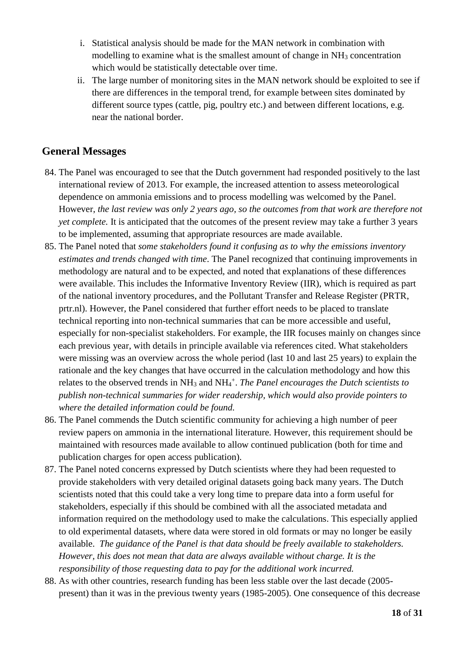- i. Statistical analysis should be made for the MAN network in combination with modelling to examine what is the smallest amount of change in NH<sub>3</sub> concentration which would be statistically detectable over time.
- ii. The large number of monitoring sites in the MAN network should be exploited to see if there are differences in the temporal trend, for example between sites dominated by different source types (cattle, pig, poultry etc.) and between different locations, e.g. near the national border.

## **General Messages**

- 84. The Panel was encouraged to see that the Dutch government had responded positively to the last international review of 2013. For example, the increased attention to assess meteorological dependence on ammonia emissions and to process modelling was welcomed by the Panel. However, *the last review was only 2 years ago, so the outcomes from that work are therefore not yet complete.* It is anticipated that the outcomes of the present review may take a further 3 years to be implemented, assuming that appropriate resources are made available.
- 85. The Panel noted that *some stakeholders found it confusing as to why the emissions inventory estimates and trends changed with time*. The Panel recognized that continuing improvements in methodology are natural and to be expected, and noted that explanations of these differences were available. This includes the Informative Inventory Review (IIR), which is required as part of the national inventory procedures, and the Pollutant Transfer and Release Register (PRTR, prtr.nl). However, the Panel considered that further effort needs to be placed to translate technical reporting into non-technical summaries that can be more accessible and useful, especially for non-specialist stakeholders. For example, the IIR focuses mainly on changes since each previous year, with details in principle available via references cited. What stakeholders were missing was an overview across the whole period (last 10 and last 25 years) to explain the rationale and the key changes that have occurred in the calculation methodology and how this relates to the observed trends in NH<sub>3</sub> and NH<sub>4</sub><sup>+</sup>. *The Panel encourages the Dutch scientists to publish non-technical summaries for wider readership, which would also provide pointers to where the detailed information could be found.*
- 86. The Panel commends the Dutch scientific community for achieving a high number of peer review papers on ammonia in the international literature. However, this requirement should be maintained with resources made available to allow continued publication (both for time and publication charges for open access publication).
- 87. The Panel noted concerns expressed by Dutch scientists where they had been requested to provide stakeholders with very detailed original datasets going back many years. The Dutch scientists noted that this could take a very long time to prepare data into a form useful for stakeholders, especially if this should be combined with all the associated metadata and information required on the methodology used to make the calculations. This especially applied to old experimental datasets, where data were stored in old formats or may no longer be easily available. *The guidance of the Panel is that data should be freely available to stakeholders. However, this does not mean that data are always available without charge. It is the responsibility of those requesting data to pay for the additional work incurred.*
- 88. As with other countries, research funding has been less stable over the last decade (2005 present) than it was in the previous twenty years (1985-2005). One consequence of this decrease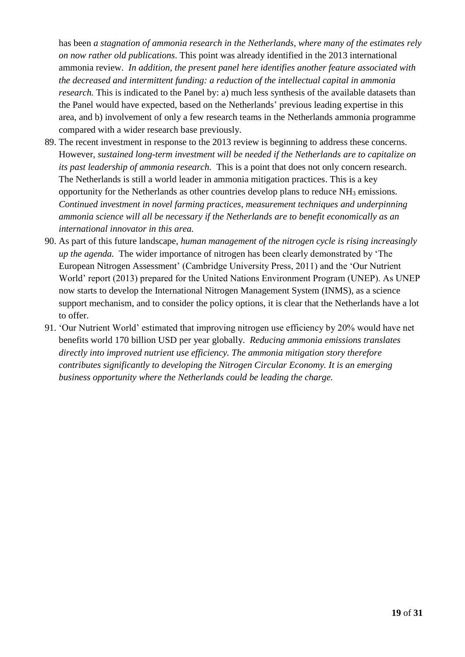has been *a stagnation of ammonia research in the Netherlands, where many of the estimates rely on now rather old publications*. This point was already identified in the 2013 international ammonia review. *In addition, the present panel here identifies another feature associated with the decreased and intermittent funding: a reduction of the intellectual capital in ammonia research*. This is indicated to the Panel by: a) much less synthesis of the available datasets than the Panel would have expected, based on the Netherlands' previous leading expertise in this area, and b) involvement of only a few research teams in the Netherlands ammonia programme compared with a wider research base previously.

- 89. The recent investment in response to the 2013 review is beginning to address these concerns. However, *sustained long-term investment will be needed if the Netherlands are to capitalize on its past leadership of ammonia research.* This is a point that does not only concern research. The Netherlands is still a world leader in ammonia mitigation practices. This is a key opportunity for the Netherlands as other countries develop plans to reduce NH<sup>3</sup> emissions*. Continued investment in novel farming practices, measurement techniques and underpinning ammonia science will all be necessary if the Netherlands are to benefit economically as an international innovator in this area.*
- 90. As part of this future landscape, *human management of the nitrogen cycle is rising increasingly up the agenda.* The wider importance of nitrogen has been clearly demonstrated by 'The European Nitrogen Assessment' (Cambridge University Press, 2011) and the 'Our Nutrient World' report (2013) prepared for the United Nations Environment Program (UNEP). As UNEP now starts to develop the International Nitrogen Management System (INMS), as a science support mechanism, and to consider the policy options, it is clear that the Netherlands have a lot to offer.
- 91. 'Our Nutrient World' estimated that improving nitrogen use efficiency by 20% would have net benefits world 170 billion USD per year globally. *Reducing ammonia emissions translates directly into improved nutrient use efficiency. The ammonia mitigation story therefore contributes significantly to developing the Nitrogen Circular Economy. It is an emerging business opportunity where the Netherlands could be leading the charge.*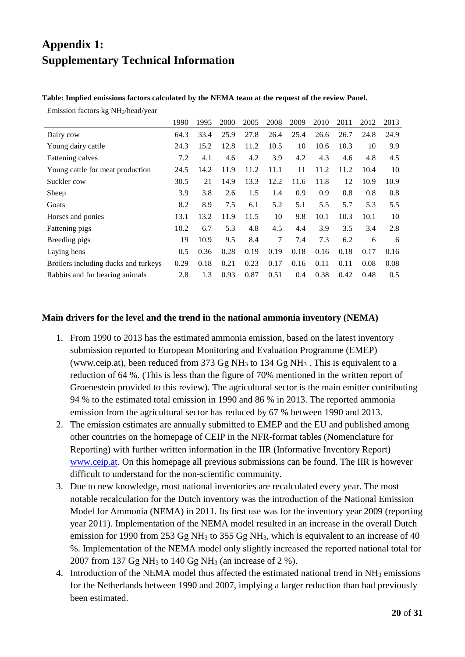## **Appendix 1: Supplementary Technical Information**

#### **Table: Implied emissions factors calculated by the NEMA team at the request of the review Panel.**

Emission factors kg NH3/head/year

|                                      | 1990 | 1995 | 2000 | 2005 | 2008 | 2009 | 2010 | 2011 | 2012 | 2013 |
|--------------------------------------|------|------|------|------|------|------|------|------|------|------|
| Dairy cow                            | 64.3 | 33.4 | 25.9 | 27.8 | 26.4 | 25.4 | 26.6 | 26.7 | 24.8 | 24.9 |
| Young dairy cattle                   | 24.3 | 15.2 | 12.8 | 11.2 | 10.5 | 10   | 10.6 | 10.3 | 10   | 9.9  |
| Fattening calves                     | 7.2  | 4.1  | 4.6  | 4.2  | 3.9  | 4.2  | 4.3  | 4.6  | 4.8  | 4.5  |
| Young cattle for meat production     | 24.5 | 14.2 | 11.9 | 11.2 | 11.1 | 11   | 11.2 | 11.2 | 10.4 | 10   |
| Suckler cow                          | 30.5 | 21   | 14.9 | 13.3 | 12.2 | 11.6 | 11.8 | 12   | 10.9 | 10.9 |
| Sheep                                | 3.9  | 3.8  | 2.6  | 1.5  | 1.4  | 0.9  | 0.9  | 0.8  | 0.8  | 0.8  |
| Goats                                | 8.2  | 8.9  | 7.5  | 6.1  | 5.2  | 5.1  | 5.5  | 5.7  | 5.3  | 5.5  |
| Horses and ponies                    | 13.1 | 13.2 | 11.9 | 11.5 | 10   | 9.8  | 10.1 | 10.3 | 10.1 | 10   |
| Fattening pigs                       | 10.2 | 6.7  | 5.3  | 4.8  | 4.5  | 4.4  | 3.9  | 3.5  | 3.4  | 2.8  |
| Breeding pigs                        | 19   | 10.9 | 9.5  | 8.4  | 7    | 7.4  | 7.3  | 6.2  | 6    | 6    |
| Laying hens                          | 0.5  | 0.36 | 0.28 | 0.19 | 0.19 | 0.18 | 0.16 | 0.18 | 0.17 | 0.16 |
| Broilers including ducks and turkeys | 0.29 | 0.18 | 0.21 | 0.23 | 0.17 | 0.16 | 0.11 | 0.11 | 0.08 | 0.08 |
| Rabbits and fur bearing animals      | 2.8  | 1.3  | 0.93 | 0.87 | 0.51 | 0.4  | 0.38 | 0.42 | 0.48 | 0.5  |

#### **Main drivers for the level and the trend in the national ammonia inventory (NEMA)**

- 1. From 1990 to 2013 has the estimated ammonia emission, based on the latest inventory submission reported to European Monitoring and Evaluation Programme (EMEP) (www.ceip.at), been reduced from 373 Gg NH<sub>3</sub> to 134 Gg NH<sub>3</sub>. This is equivalent to a reduction of 64 %. (This is less than the figure of 70% mentioned in the written report of Groenestein provided to this review). The agricultural sector is the main emitter contributing 94 % to the estimated total emission in 1990 and 86 % in 2013. The reported ammonia emission from the agricultural sector has reduced by 67 % between 1990 and 2013.
- 2. The emission estimates are annually submitted to EMEP and the EU and published among other countries on the homepage of CEIP in the NFR-format tables (Nomenclature for Reporting) with further written information in the IIR (Informative Inventory Report) [www.ceip.at.](http://www.ceip.at/) On this homepage all previous submissions can be found. The IIR is however difficult to understand for the non-scientific community.
- 3. Due to new knowledge, most national inventories are recalculated every year. The most notable recalculation for the Dutch inventory was the introduction of the National Emission Model for Ammonia (NEMA) in 2011. Its first use was for the inventory year 2009 (reporting year 2011). Implementation of the NEMA model resulted in an increase in the overall Dutch emission for 1990 from 253 Gg NH<sub>3</sub> to 355 Gg NH<sub>3</sub>, which is equivalent to an increase of 40 %. Implementation of the NEMA model only slightly increased the reported national total for 2007 from 137 Gg NH<sup>3</sup> to 140 Gg NH<sup>3</sup> (an increase of 2 %).
- 4. Introduction of the NEMA model thus affected the estimated national trend in  $NH<sub>3</sub>$  emissions for the Netherlands between 1990 and 2007, implying a larger reduction than had previously been estimated.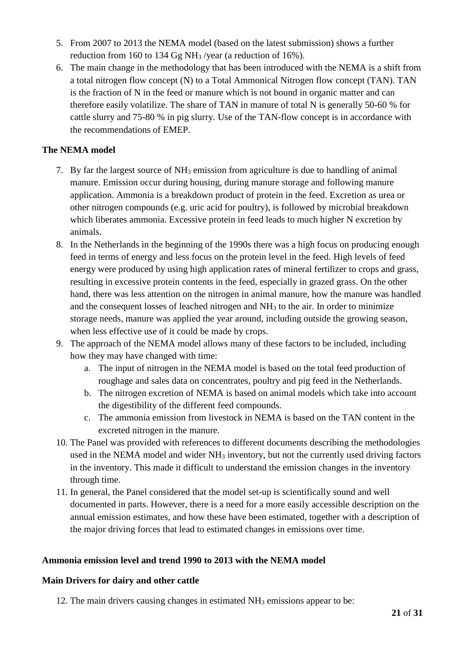- 5. From 2007 to 2013 the NEMA model (based on the latest submission) shows a further reduction from 160 to 134 Gg NH<sup>3</sup> /year (a reduction of 16%).
- 6. The main change in the methodology that has been introduced with the NEMA is a shift from a total nitrogen flow concept (N) to a Total Ammonical Nitrogen flow concept (TAN). TAN is the fraction of N in the feed or manure which is not bound in organic matter and can therefore easily volatilize. The share of TAN in manure of total N is generally 50-60 % for cattle slurry and 75-80 % in pig slurry. Use of the TAN-flow concept is in accordance with the recommendations of EMEP.

## **The NEMA model**

- 7. By far the largest source of  $NH_3$  emission from agriculture is due to handling of animal manure. Emission occur during housing, during manure storage and following manure application. Ammonia is a breakdown product of protein in the feed. Excretion as urea or other nitrogen compounds (e.g. uric acid for poultry), is followed by microbial breakdown which liberates ammonia. Excessive protein in feed leads to much higher N excretion by animals.
- 8. In the Netherlands in the beginning of the 1990s there was a high focus on producing enough feed in terms of energy and less focus on the protein level in the feed. High levels of feed energy were produced by using high application rates of mineral fertilizer to crops and grass, resulting in excessive protein contents in the feed, especially in grazed grass. On the other hand, there was less attention on the nitrogen in animal manure, how the manure was handled and the consequent losses of leached nitrogen and NH<sup>3</sup> to the air. In order to minimize storage needs, manure was applied the year around, including outside the growing season, when less effective use of it could be made by crops.
- 9. The approach of the NEMA model allows many of these factors to be included, including how they may have changed with time:
	- a. The input of nitrogen in the NEMA model is based on the total feed production of roughage and sales data on concentrates, poultry and pig feed in the Netherlands.
	- b. The nitrogen excretion of NEMA is based on animal models which take into account the digestibility of the different feed compounds.
	- c. The ammonia emission from livestock in NEMA is based on the TAN content in the excreted nitrogen in the manure.
- 10. The Panel was provided with references to different documents describing the methodologies used in the NEMA model and wider NH<sub>3</sub> inventory, but not the currently used driving factors in the inventory. This made it difficult to understand the emission changes in the inventory through time.
- 11. In general, the Panel considered that the model set-up is scientifically sound and well documented in parts. However, there is a need for a more easily accessible description on the annual emission estimates, and how these have been estimated, together with a description of the major driving forces that lead to estimated changes in emissions over time.

#### **Ammonia emission level and trend 1990 to 2013 with the NEMA model**

#### **Main Drivers for dairy and other cattle**

12. The main drivers causing changes in estimated NH<sup>3</sup> emissions appear to be: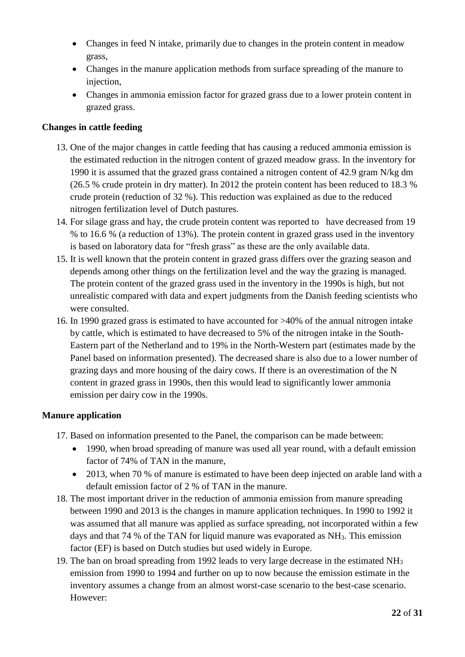- Changes in feed N intake, primarily due to changes in the protein content in meadow grass,
- Changes in the manure application methods from surface spreading of the manure to injection,
- Changes in ammonia emission factor for grazed grass due to a lower protein content in grazed grass.

#### **Changes in cattle feeding**

- 13. One of the major changes in cattle feeding that has causing a reduced ammonia emission is the estimated reduction in the nitrogen content of grazed meadow grass. In the inventory for 1990 it is assumed that the grazed grass contained a nitrogen content of 42.9 gram N/kg dm (26.5 % crude protein in dry matter). In 2012 the protein content has been reduced to 18.3 % crude protein (reduction of 32 %). This reduction was explained as due to the reduced nitrogen fertilization level of Dutch pastures.
- 14. For silage grass and hay, the crude protein content was reported to have decreased from 19 % to 16.6 % (a reduction of 13%). The protein content in grazed grass used in the inventory is based on laboratory data for "fresh grass" as these are the only available data.
- 15. It is well known that the protein content in grazed grass differs over the grazing season and depends among other things on the fertilization level and the way the grazing is managed. The protein content of the grazed grass used in the inventory in the 1990s is high, but not unrealistic compared with data and expert judgments from the Danish feeding scientists who were consulted.
- 16. In 1990 grazed grass is estimated to have accounted for >40% of the annual nitrogen intake by cattle, which is estimated to have decreased to 5% of the nitrogen intake in the South-Eastern part of the Netherland and to 19% in the North-Western part (estimates made by the Panel based on information presented). The decreased share is also due to a lower number of grazing days and more housing of the dairy cows. If there is an overestimation of the N content in grazed grass in 1990s, then this would lead to significantly lower ammonia emission per dairy cow in the 1990s.

#### **Manure application**

- 17. Based on information presented to the Panel, the comparison can be made between:
	- 1990, when broad spreading of manure was used all year round, with a default emission factor of 74% of TAN in the manure,
	- 2013, when 70 % of manure is estimated to have been deep injected on arable land with a default emission factor of 2 % of TAN in the manure.
- 18. The most important driver in the reduction of ammonia emission from manure spreading between 1990 and 2013 is the changes in manure application techniques. In 1990 to 1992 it was assumed that all manure was applied as surface spreading, not incorporated within a few days and that 74 % of the TAN for liquid manure was evaporated as NH3. This emission factor (EF) is based on Dutch studies but used widely in Europe.
- 19. The ban on broad spreading from 1992 leads to very large decrease in the estimated NH<sup>3</sup> emission from 1990 to 1994 and further on up to now because the emission estimate in the inventory assumes a change from an almost worst-case scenario to the best-case scenario. However: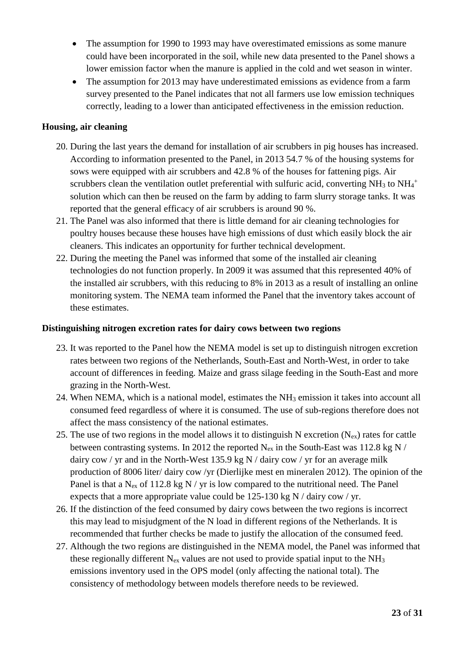- The assumption for 1990 to 1993 may have overestimated emissions as some manure could have been incorporated in the soil, while new data presented to the Panel shows a lower emission factor when the manure is applied in the cold and wet season in winter.
- The assumption for 2013 may have underestimated emissions as evidence from a farm survey presented to the Panel indicates that not all farmers use low emission techniques correctly, leading to a lower than anticipated effectiveness in the emission reduction.

#### **Housing, air cleaning**

- 20. During the last years the demand for installation of air scrubbers in pig houses has increased. According to information presented to the Panel, in 2013 54.7 % of the housing systems for sows were equipped with air scrubbers and 42.8 % of the houses for fattening pigs. Air scrubbers clean the ventilation outlet preferential with sulfuric acid, converting  $NH<sub>3</sub>$  to  $NH<sub>4</sub>$ <sup>+</sup> solution which can then be reused on the farm by adding to farm slurry storage tanks. It was reported that the general efficacy of air scrubbers is around 90 %.
- 21. The Panel was also informed that there is little demand for air cleaning technologies for poultry houses because these houses have high emissions of dust which easily block the air cleaners. This indicates an opportunity for further technical development.
- 22. During the meeting the Panel was informed that some of the installed air cleaning technologies do not function properly. In 2009 it was assumed that this represented 40% of the installed air scrubbers, with this reducing to 8% in 2013 as a result of installing an online monitoring system. The NEMA team informed the Panel that the inventory takes account of these estimates.

#### **Distinguishing nitrogen excretion rates for dairy cows between two regions**

- 23. It was reported to the Panel how the NEMA model is set up to distinguish nitrogen excretion rates between two regions of the Netherlands, South-East and North-West, in order to take account of differences in feeding. Maize and grass silage feeding in the South-East and more grazing in the North-West.
- 24. When NEMA, which is a national model, estimates the  $NH<sub>3</sub>$  emission it takes into account all consumed feed regardless of where it is consumed. The use of sub-regions therefore does not affect the mass consistency of the national estimates.
- 25. The use of two regions in the model allows it to distinguish N excretion ( $N_{ex}$ ) rates for cattle between contrasting systems. In 2012 the reported  $N_{ex}$  in the South-East was 112.8 kg N / dairy cow / yr and in the North-West 135.9 kg N / dairy cow / yr for an average milk production of 8006 liter/ dairy cow /yr (Dierlijke mest en mineralen 2012). The opinion of the Panel is that a N<sub>ex</sub> of 112.8 kg N / yr is low compared to the nutritional need. The Panel expects that a more appropriate value could be 125-130 kg N / dairy cow / yr.
- 26. If the distinction of the feed consumed by dairy cows between the two regions is incorrect this may lead to misjudgment of the N load in different regions of the Netherlands. It is recommended that further checks be made to justify the allocation of the consumed feed.
- 27. Although the two regions are distinguished in the NEMA model, the Panel was informed that these regionally different  $N_{ex}$  values are not used to provide spatial input to the  $NH<sub>3</sub>$ emissions inventory used in the OPS model (only affecting the national total). The consistency of methodology between models therefore needs to be reviewed.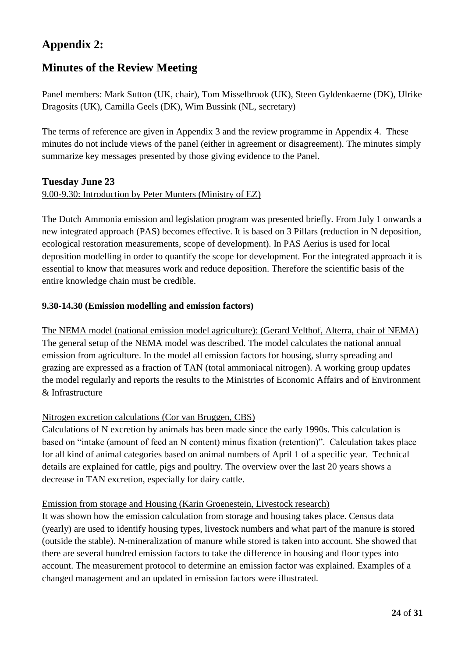## **Appendix 2:**

## **Minutes of the Review Meeting**

Panel members: Mark Sutton (UK, chair), Tom Misselbrook (UK), Steen Gyldenkaerne (DK), Ulrike Dragosits (UK), Camilla Geels (DK), Wim Bussink (NL, secretary)

The terms of reference are given in Appendix 3 and the review programme in Appendix 4. These minutes do not include views of the panel (either in agreement or disagreement). The minutes simply summarize key messages presented by those giving evidence to the Panel.

## **Tuesday June 23**

#### 9.00-9.30: Introduction by Peter Munters (Ministry of EZ)

The Dutch Ammonia emission and legislation program was presented briefly. From July 1 onwards a new integrated approach (PAS) becomes effective. It is based on 3 Pillars (reduction in N deposition, ecological restoration measurements, scope of development). In PAS Aerius is used for local deposition modelling in order to quantify the scope for development. For the integrated approach it is essential to know that measures work and reduce deposition. Therefore the scientific basis of the entire knowledge chain must be credible.

#### **9.30-14.30 (Emission modelling and emission factors)**

The NEMA model (national emission model agriculture): (Gerard Velthof, Alterra, chair of NEMA) The general setup of the NEMA model was described. The model calculates the national annual emission from agriculture. In the model all emission factors for housing, slurry spreading and grazing are expressed as a fraction of TAN (total ammoniacal nitrogen). A working group updates the model regularly and reports the results to the Ministries of Economic Affairs and of Environment & Infrastructure

## Nitrogen excretion calculations (Cor van Bruggen, CBS)

Calculations of N excretion by animals has been made since the early 1990s. This calculation is based on "intake (amount of feed an N content) minus fixation (retention)". Calculation takes place for all kind of animal categories based on animal numbers of April 1 of a specific year. Technical details are explained for cattle, pigs and poultry. The overview over the last 20 years shows a decrease in TAN excretion, especially for dairy cattle.

#### Emission from storage and Housing (Karin Groenestein, Livestock research)

It was shown how the emission calculation from storage and housing takes place. Census data (yearly) are used to identify housing types, livestock numbers and what part of the manure is stored (outside the stable). N-mineralization of manure while stored is taken into account. She showed that there are several hundred emission factors to take the difference in housing and floor types into account. The measurement protocol to determine an emission factor was explained. Examples of a changed management and an updated in emission factors were illustrated.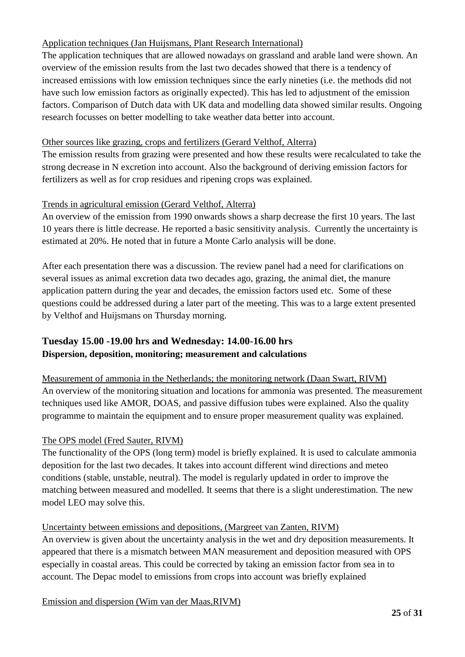## Application techniques (Jan Huijsmans, Plant Research International)

The application techniques that are allowed nowadays on grassland and arable land were shown. An overview of the emission results from the last two decades showed that there is a tendency of increased emissions with low emission techniques since the early nineties (i.e. the methods did not have such low emission factors as originally expected). This has led to adjustment of the emission factors. Comparison of Dutch data with UK data and modelling data showed similar results. Ongoing research focusses on better modelling to take weather data better into account.

## Other sources like grazing, crops and fertilizers (Gerard Velthof, Alterra)

The emission results from grazing were presented and how these results were recalculated to take the strong decrease in N excretion into account. Also the background of deriving emission factors for fertilizers as well as for crop residues and ripening crops was explained.

## Trends in agricultural emission (Gerard Velthof, Alterra)

An overview of the emission from 1990 onwards shows a sharp decrease the first 10 years. The last 10 years there is little decrease. He reported a basic sensitivity analysis. Currently the uncertainty is estimated at 20%. He noted that in future a Monte Carlo analysis will be done.

After each presentation there was a discussion. The review panel had a need for clarifications on several issues as animal excretion data two decades ago, grazing, the animal diet, the manure application pattern during the year and decades, the emission factors used etc. Some of these questions could be addressed during a later part of the meeting. This was to a large extent presented by Velthof and Huijsmans on Thursday morning.

## **Tuesday 15.00 -19.00 hrs and Wednesday: 14.00-16.00 hrs Dispersion, deposition, monitoring; measurement and calculations**

Measurement of ammonia in the Netherlands; the monitoring network (Daan Swart, RIVM) An overview of the monitoring situation and locations for ammonia was presented. The measurement techniques used like AMOR, DOAS, and passive diffusion tubes were explained. Also the quality programme to maintain the equipment and to ensure proper measurement quality was explained.

## The OPS model (Fred Sauter, RIVM)

The functionality of the OPS (long term) model is briefly explained. It is used to calculate ammonia deposition for the last two decades. It takes into account different wind directions and meteo conditions (stable, unstable, neutral). The model is regularly updated in order to improve the matching between measured and modelled. It seems that there is a slight underestimation. The new model LEO may solve this.

## Uncertainty between emissions and depositions, (Margreet van Zanten, RIVM)

An overview is given about the uncertainty analysis in the wet and dry deposition measurements. It appeared that there is a mismatch between MAN measurement and deposition measured with OPS especially in coastal areas. This could be corrected by taking an emission factor from sea in to account. The Depac model to emissions from crops into account was briefly explained

Emission and dispersion (Wim van der Maas,RIVM)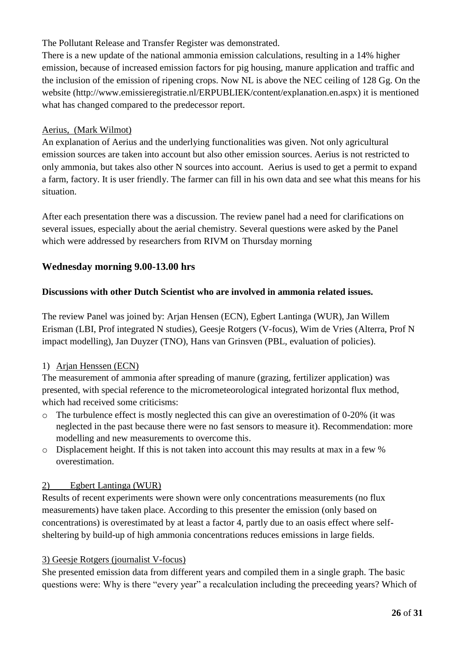## The Pollutant Release and Transfer Register was demonstrated.

There is a new update of the national ammonia emission calculations, resulting in a 14% higher emission, because of increased emission factors for pig housing, manure application and traffic and the inclusion of the emission of ripening crops. Now NL is above the NEC ceiling of 128 Gg. On the website [\(http://www.emissieregistratie.nl/ERPUBLIEK/content/explanation.en.aspx\)](http://www.emissieregistratie.nl/ERPUBLIEK/content/explanation.en.aspx) it is mentioned what has changed compared to the predecessor report.

#### Aerius, (Mark Wilmot)

An explanation of Aerius and the underlying functionalities was given. Not only agricultural emission sources are taken into account but also other emission sources. Aerius is not restricted to only ammonia, but takes also other N sources into account. Aerius is used to get a permit to expand a farm, factory. It is user friendly. The farmer can fill in his own data and see what this means for his situation.

After each presentation there was a discussion. The review panel had a need for clarifications on several issues, especially about the aerial chemistry. Several questions were asked by the Panel which were addressed by researchers from RIVM on Thursday morning

## **Wednesday morning 9.00-13.00 hrs**

#### **Discussions with other Dutch Scientist who are involved in ammonia related issues.**

The review Panel was joined by: Arjan Hensen (ECN), Egbert Lantinga (WUR), Jan Willem Erisman (LBI, Prof integrated N studies), Geesje Rotgers (V-focus), Wim de Vries (Alterra, Prof N impact modelling), Jan Duyzer (TNO), Hans van Grinsven (PBL, evaluation of policies).

#### 1) Arjan Henssen (ECN)

The measurement of ammonia after spreading of manure (grazing, fertilizer application) was presented, with special reference to the micrometeorological integrated horizontal flux method, which had received some criticisms:

- o The turbulence effect is mostly neglected this can give an overestimation of 0-20% (it was neglected in the past because there were no fast sensors to measure it). Recommendation: more modelling and new measurements to overcome this.
- o Displacement height. If this is not taken into account this may results at max in a few % overestimation.

## 2) Egbert Lantinga (WUR)

Results of recent experiments were shown were only concentrations measurements (no flux measurements) have taken place. According to this presenter the emission (only based on concentrations) is overestimated by at least a factor 4, partly due to an oasis effect where selfsheltering by build-up of high ammonia concentrations reduces emissions in large fields.

## 3) Geesje Rotgers (journalist V-focus)

She presented emission data from different years and compiled them in a single graph. The basic questions were: Why is there "every year" a recalculation including the preceeding years? Which of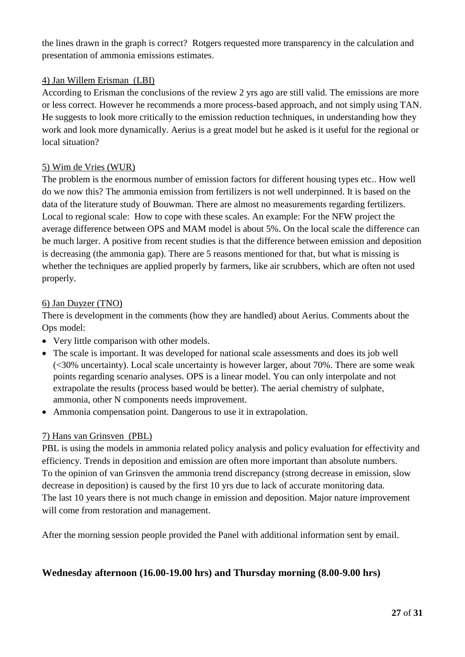the lines drawn in the graph is correct? Rotgers requested more transparency in the calculation and presentation of ammonia emissions estimates.

#### 4) Jan Willem Erisman (LBI)

According to Erisman the conclusions of the review 2 yrs ago are still valid. The emissions are more or less correct. However he recommends a more process-based approach, and not simply using TAN. He suggests to look more critically to the emission reduction techniques, in understanding how they work and look more dynamically. Aerius is a great model but he asked is it useful for the regional or local situation?

#### 5) Wim de Vries (WUR)

The problem is the enormous number of emission factors for different housing types etc.. How well do we now this? The ammonia emission from fertilizers is not well underpinned. It is based on the data of the literature study of Bouwman. There are almost no measurements regarding fertilizers. Local to regional scale: How to cope with these scales. An example: For the NFW project the average difference between OPS and MAM model is about 5%. On the local scale the difference can be much larger. A positive from recent studies is that the difference between emission and deposition is decreasing (the ammonia gap). There are 5 reasons mentioned for that, but what is missing is whether the techniques are applied properly by farmers, like air scrubbers, which are often not used properly.

#### 6) Jan Duyzer (TNO)

There is development in the comments (how they are handled) about Aerius. Comments about the Ops model:

- Very little comparison with other models.
- The scale is important. It was developed for national scale assessments and does its job well (<30% uncertainty). Local scale uncertainty is however larger, about 70%. There are some weak points regarding scenario analyses. OPS is a linear model. You can only interpolate and not extrapolate the results (process based would be better). The aerial chemistry of sulphate, ammonia, other N components needs improvement.
- Ammonia compensation point. Dangerous to use it in extrapolation.

#### 7) Hans van Grinsven (PBL)

PBL is using the models in ammonia related policy analysis and policy evaluation for effectivity and efficiency. Trends in deposition and emission are often more important than absolute numbers. To the opinion of van Grinsven the ammonia trend discrepancy (strong decrease in emission, slow decrease in deposition) is caused by the first 10 yrs due to lack of accurate monitoring data. The last 10 years there is not much change in emission and deposition. Major nature improvement will come from restoration and management.

After the morning session people provided the Panel with additional information sent by email.

## **Wednesday afternoon (16.00-19.00 hrs) and Thursday morning (8.00-9.00 hrs)**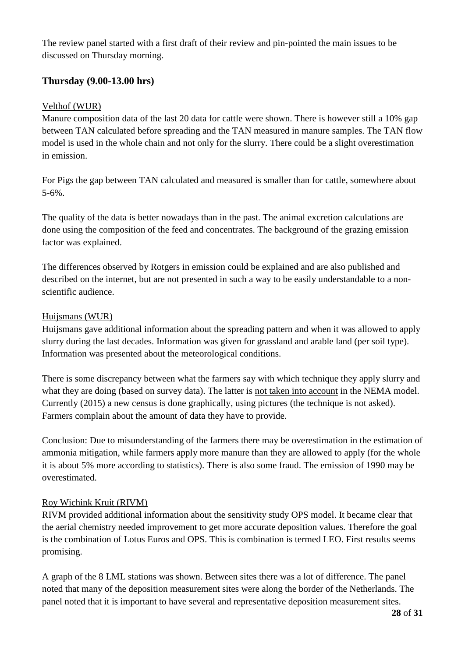The review panel started with a first draft of their review and pin-pointed the main issues to be discussed on Thursday morning.

## **Thursday (9.00-13.00 hrs)**

#### Velthof (WUR)

Manure composition data of the last 20 data for cattle were shown. There is however still a 10% gap between TAN calculated before spreading and the TAN measured in manure samples. The TAN flow model is used in the whole chain and not only for the slurry. There could be a slight overestimation in emission.

For Pigs the gap between TAN calculated and measured is smaller than for cattle, somewhere about 5-6%.

The quality of the data is better nowadays than in the past. The animal excretion calculations are done using the composition of the feed and concentrates. The background of the grazing emission factor was explained.

The differences observed by Rotgers in emission could be explained and are also published and described on the internet, but are not presented in such a way to be easily understandable to a nonscientific audience.

#### Huijsmans (WUR)

Huijsmans gave additional information about the spreading pattern and when it was allowed to apply slurry during the last decades. Information was given for grassland and arable land (per soil type). Information was presented about the meteorological conditions.

There is some discrepancy between what the farmers say with which technique they apply slurry and what they are doing (based on survey data). The latter is not taken into account in the NEMA model. Currently (2015) a new census is done graphically, using pictures (the technique is not asked). Farmers complain about the amount of data they have to provide.

Conclusion: Due to misunderstanding of the farmers there may be overestimation in the estimation of ammonia mitigation, while farmers apply more manure than they are allowed to apply (for the whole it is about 5% more according to statistics). There is also some fraud. The emission of 1990 may be overestimated.

## Roy Wichink Kruit (RIVM)

RIVM provided additional information about the sensitivity study OPS model. It became clear that the aerial chemistry needed improvement to get more accurate deposition values. Therefore the goal is the combination of Lotus Euros and OPS. This is combination is termed LEO. First results seems promising.

A graph of the 8 LML stations was shown. Between sites there was a lot of difference. The panel noted that many of the deposition measurement sites were along the border of the Netherlands. The panel noted that it is important to have several and representative deposition measurement sites.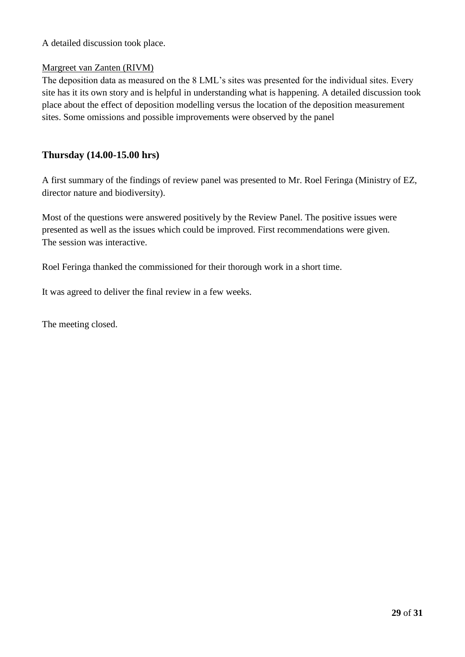A detailed discussion took place.

#### Margreet van Zanten (RIVM)

The deposition data as measured on the 8 LML's sites was presented for the individual sites. Every site has it its own story and is helpful in understanding what is happening. A detailed discussion took place about the effect of deposition modelling versus the location of the deposition measurement sites. Some omissions and possible improvements were observed by the panel

#### **Thursday (14.00-15.00 hrs)**

A first summary of the findings of review panel was presented to Mr. Roel Feringa (Ministry of EZ, director nature and biodiversity).

Most of the questions were answered positively by the Review Panel. The positive issues were presented as well as the issues which could be improved. First recommendations were given. The session was interactive.

Roel Feringa thanked the commissioned for their thorough work in a short time.

It was agreed to deliver the final review in a few weeks.

The meeting closed.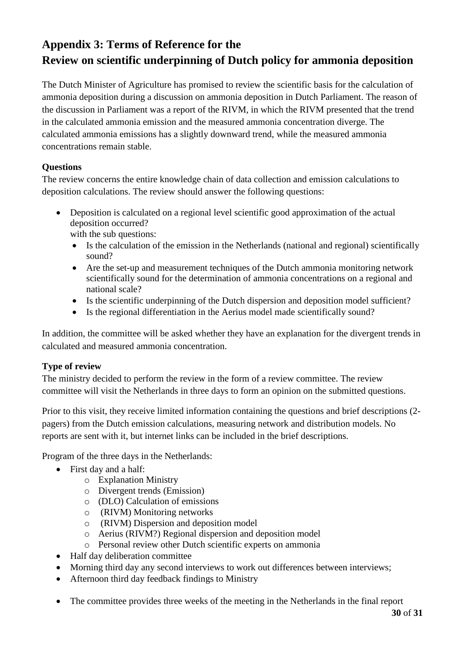## **Appendix 3: Terms of Reference for the Review on scientific underpinning of Dutch policy for ammonia deposition**

The Dutch Minister of Agriculture has promised to review the scientific basis for the calculation of ammonia deposition during a discussion on ammonia deposition in Dutch Parliament. The reason of the discussion in Parliament was a report of the RIVM, in which the RIVM presented that the trend in the calculated ammonia emission and the measured ammonia concentration diverge. The calculated ammonia emissions has a slightly downward trend, while the measured ammonia concentrations remain stable.

## **Questions**

The review concerns the entire knowledge chain of data collection and emission calculations to deposition calculations. The review should answer the following questions:

- Deposition is calculated on a regional level scientific good approximation of the actual deposition occurred? with the sub questions:
	- Is the calculation of the emission in the Netherlands (national and regional) scientifically sound?
	- Are the set-up and measurement techniques of the Dutch ammonia monitoring network scientifically sound for the determination of ammonia concentrations on a regional and national scale?
	- Is the scientific underpinning of the Dutch dispersion and deposition model sufficient?
	- Is the regional differentiation in the Aerius model made scientifically sound?

In addition, the committee will be asked whether they have an explanation for the divergent trends in calculated and measured ammonia concentration.

## **Type of review**

The ministry decided to perform the review in the form of a review committee. The review committee will visit the Netherlands in three days to form an opinion on the submitted questions.

Prior to this visit, they receive limited information containing the questions and brief descriptions (2 pagers) from the Dutch emission calculations, measuring network and distribution models. No reports are sent with it, but internet links can be included in the brief descriptions.

Program of the three days in the Netherlands:

- First day and a half:
	- o Explanation Ministry
	- o Divergent trends (Emission)
	- o (DLO) Calculation of emissions
	- o (RIVM) Monitoring networks
	- o (RIVM) Dispersion and deposition model
	- o Aerius (RIVM?) Regional dispersion and deposition model
	- o Personal review other Dutch scientific experts on ammonia
- Half day deliberation committee
- Morning third day any second interviews to work out differences between interviews;
- Afternoon third day feedback findings to Ministry
- The committee provides three weeks of the meeting in the Netherlands in the final report